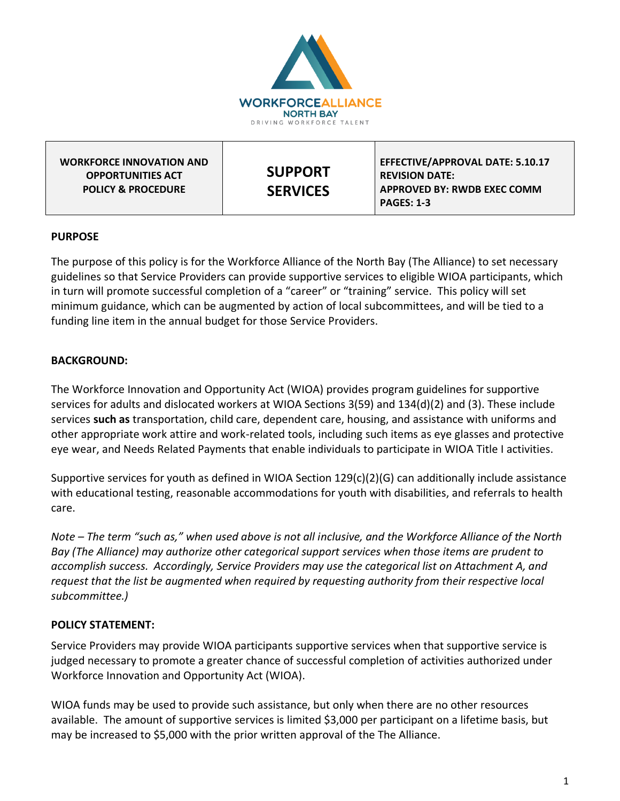

### **PURPOSE**

The purpose of this policy is for the Workforce Alliance of the North Bay (The Alliance) to set necessary guidelines so that Service Providers can provide supportive services to eligible WIOA participants, which in turn will promote successful completion of a "career" or "training" service. This policy will set minimum guidance, which can be augmented by action of local subcommittees, and will be tied to a funding line item in the annual budget for those Service Providers.

## **BACKGROUND:**

The Workforce Innovation and Opportunity Act (WIOA) provides program guidelines for supportive services for adults and dislocated workers at WIOA Sections 3(59) and 134(d)(2) and (3). These include services **such as** transportation, child care, dependent care, housing, and assistance with uniforms and other appropriate work attire and work-related tools, including such items as eye glasses and protective eye wear, and Needs Related Payments that enable individuals to participate in WIOA Title I activities.

Supportive services for youth as defined in WIOA Section 129(c)(2)(G) can additionally include assistance with educational testing, reasonable accommodations for youth with disabilities, and referrals to health care.

*Note – The term "such as," when used above is not all inclusive, and the Workforce Alliance of the North Bay (The Alliance) may authorize other categorical support services when those items are prudent to accomplish success. Accordingly, Service Providers may use the categorical list on Attachment A, and request that the list be augmented when required by requesting authority from their respective local subcommittee.)*

#### **POLICY STATEMENT:**

Service Providers may provide WIOA participants supportive services when that supportive service is judged necessary to promote a greater chance of successful completion of activities authorized under Workforce Innovation and Opportunity Act (WIOA).

WIOA funds may be used to provide such assistance, but only when there are no other resources available. The amount of supportive services is limited \$3,000 per participant on a lifetime basis, but may be increased to \$5,000 with the prior written approval of the The Alliance.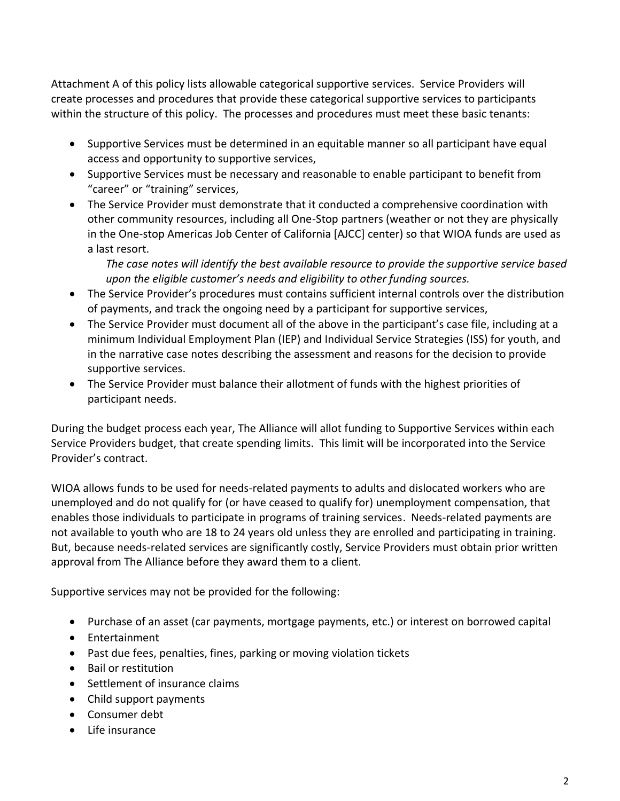Attachment A of this policy lists allowable categorical supportive services. Service Providers will create processes and procedures that provide these categorical supportive services to participants within the structure of this policy. The processes and procedures must meet these basic tenants:

- Supportive Services must be determined in an equitable manner so all participant have equal access and opportunity to supportive services,
- Supportive Services must be necessary and reasonable to enable participant to benefit from "career" or "training" services,
- The Service Provider must demonstrate that it conducted a comprehensive coordination with other community resources, including all One-Stop partners (weather or not they are physically in the One-stop Americas Job Center of California [AJCC] center) so that WIOA funds are used as a last resort.

*The case notes will identify the best available resource to provide the supportive service based upon the eligible customer's needs and eligibility to other funding sources.* 

- The Service Provider's procedures must contains sufficient internal controls over the distribution of payments, and track the ongoing need by a participant for supportive services,
- The Service Provider must document all of the above in the participant's case file, including at a minimum Individual Employment Plan (IEP) and Individual Service Strategies (ISS) for youth, and in the narrative case notes describing the assessment and reasons for the decision to provide supportive services.
- The Service Provider must balance their allotment of funds with the highest priorities of participant needs.

During the budget process each year, The Alliance will allot funding to Supportive Services within each Service Providers budget, that create spending limits. This limit will be incorporated into the Service Provider's contract.

WIOA allows funds to be used for needs-related payments to adults and dislocated workers who are unemployed and do not qualify for (or have ceased to qualify for) unemployment compensation, that enables those individuals to participate in programs of training services. Needs-related payments are not available to youth who are 18 to 24 years old unless they are enrolled and participating in training. But, because needs-related services are significantly costly, Service Providers must obtain prior written approval from The Alliance before they award them to a client.

Supportive services may not be provided for the following:

- Purchase of an asset (car payments, mortgage payments, etc.) or interest on borrowed capital
- Entertainment
- Past due fees, penalties, fines, parking or moving violation tickets
- Bail or restitution
- Settlement of insurance claims
- Child support payments
- Consumer debt
- Life insurance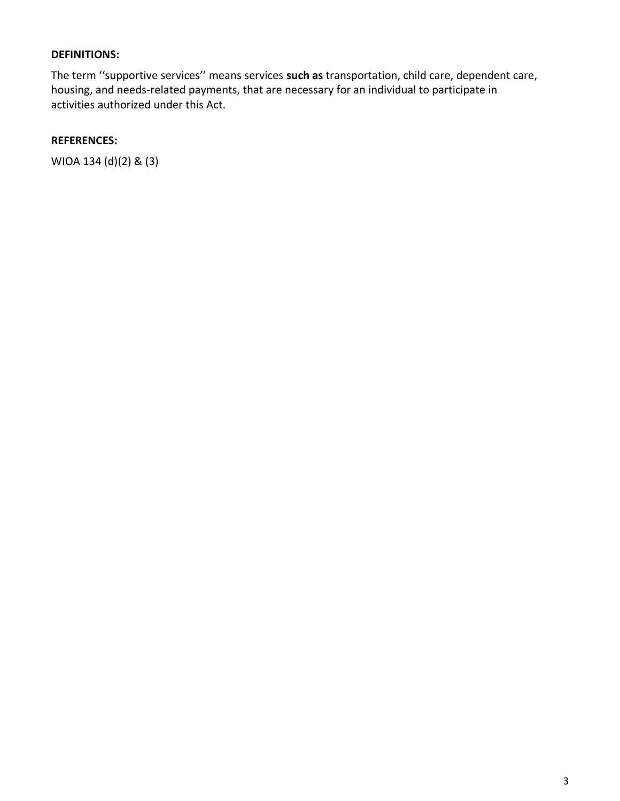### **DEFINITIONS:**

The term ''supportive services'' means services **such as** transportation, child care, dependent care, housing, and needs-related payments, that are necessary for an individual to participate in activities authorized under this Act.

# **REFERENCES:**

WIOA 134 (d)(2) & (3)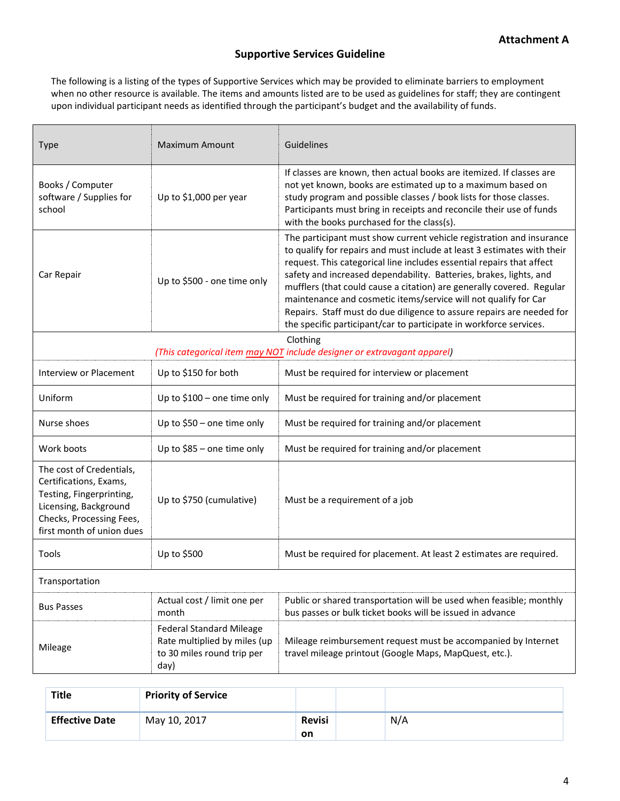## **Supportive Services Guideline**

The following is a listing of the types of Supportive Services which may be provided to eliminate barriers to employment when no other resource is available. The items and amounts listed are to be used as guidelines for staff; they are contingent upon individual participant needs as identified through the participant's budget and the availability of funds.

| <b>Type</b>                                                                                                                                                      | <b>Maximum Amount</b>                                                                                 | Guidelines                                                                                                                                                                                                                                                                                                                                                                                                                                                                                                                                                                                |  |  |  |  |  |
|------------------------------------------------------------------------------------------------------------------------------------------------------------------|-------------------------------------------------------------------------------------------------------|-------------------------------------------------------------------------------------------------------------------------------------------------------------------------------------------------------------------------------------------------------------------------------------------------------------------------------------------------------------------------------------------------------------------------------------------------------------------------------------------------------------------------------------------------------------------------------------------|--|--|--|--|--|
| Books / Computer<br>software / Supplies for<br>school                                                                                                            | Up to \$1,000 per year                                                                                | If classes are known, then actual books are itemized. If classes are<br>not yet known, books are estimated up to a maximum based on<br>study program and possible classes / book lists for those classes.<br>Participants must bring in receipts and reconcile their use of funds<br>with the books purchased for the class(s).                                                                                                                                                                                                                                                           |  |  |  |  |  |
| Car Repair                                                                                                                                                       | Up to \$500 - one time only                                                                           | The participant must show current vehicle registration and insurance<br>to qualify for repairs and must include at least 3 estimates with their<br>request. This categorical line includes essential repairs that affect<br>safety and increased dependability. Batteries, brakes, lights, and<br>mufflers (that could cause a citation) are generally covered. Regular<br>maintenance and cosmetic items/service will not qualify for Car<br>Repairs. Staff must do due diligence to assure repairs are needed for<br>the specific participant/car to participate in workforce services. |  |  |  |  |  |
| Clothing<br>(This categorical item may NOT include designer or extravagant apparel)                                                                              |                                                                                                       |                                                                                                                                                                                                                                                                                                                                                                                                                                                                                                                                                                                           |  |  |  |  |  |
| Interview or Placement                                                                                                                                           | Up to \$150 for both                                                                                  | Must be required for interview or placement                                                                                                                                                                                                                                                                                                                                                                                                                                                                                                                                               |  |  |  |  |  |
| Uniform                                                                                                                                                          | Up to \$100 - one time only                                                                           | Must be required for training and/or placement                                                                                                                                                                                                                                                                                                                                                                                                                                                                                                                                            |  |  |  |  |  |
| Nurse shoes                                                                                                                                                      | Up to \$50 - one time only                                                                            | Must be required for training and/or placement                                                                                                                                                                                                                                                                                                                                                                                                                                                                                                                                            |  |  |  |  |  |
| Work boots                                                                                                                                                       | Up to \$85 - one time only                                                                            | Must be required for training and/or placement                                                                                                                                                                                                                                                                                                                                                                                                                                                                                                                                            |  |  |  |  |  |
| The cost of Credentials,<br>Certifications, Exams,<br>Testing, Fingerprinting,<br>Licensing, Background<br>Checks, Processing Fees,<br>first month of union dues | Up to \$750 (cumulative)                                                                              | Must be a requirement of a job                                                                                                                                                                                                                                                                                                                                                                                                                                                                                                                                                            |  |  |  |  |  |
| Tools                                                                                                                                                            | Up to \$500                                                                                           | Must be required for placement. At least 2 estimates are required.                                                                                                                                                                                                                                                                                                                                                                                                                                                                                                                        |  |  |  |  |  |
| Transportation                                                                                                                                                   |                                                                                                       |                                                                                                                                                                                                                                                                                                                                                                                                                                                                                                                                                                                           |  |  |  |  |  |
| <b>Bus Passes</b>                                                                                                                                                | Actual cost / limit one per<br>month                                                                  | Public or shared transportation will be used when feasible; monthly<br>bus passes or bulk ticket books will be issued in advance                                                                                                                                                                                                                                                                                                                                                                                                                                                          |  |  |  |  |  |
| Mileage                                                                                                                                                          | <b>Federal Standard Mileage</b><br>Rate multiplied by miles (up<br>to 30 miles round trip per<br>day) | Mileage reimbursement request must be accompanied by Internet<br>travel mileage printout (Google Maps, MapQuest, etc.).                                                                                                                                                                                                                                                                                                                                                                                                                                                                   |  |  |  |  |  |

| <b>Title</b>          | <b>Priority of Service</b> |                            |     |
|-----------------------|----------------------------|----------------------------|-----|
| <b>Effective Date</b> | May 10, 2017               | <b>Revisi</b><br><b>on</b> | N/A |